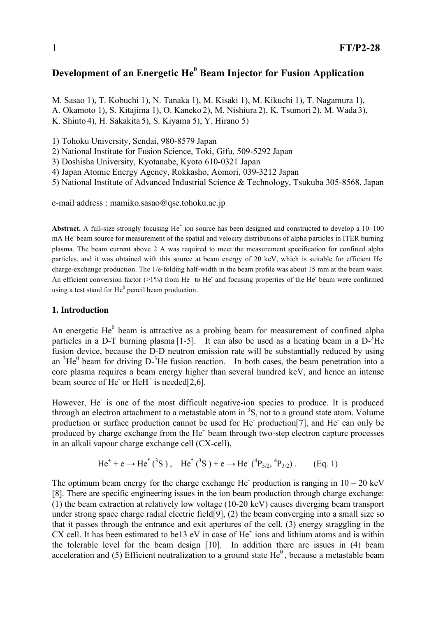# **Development of an Energetic He <sup>0</sup> Beam Injector for Fusion Application**

M. Sasao 1), T. Kobuchi 1), N. Tanaka 1), M. Kisaki 1), M. Kikuchi 1), T. Nagamura 1), A. Okamoto 1), S. Kitajima 1), O. Kaneko 2), M. Nishiura 2), K. Tsumori 2), M. Wada 3), K. Shinto 4), H. Sakakita 5), S. Kiyama 5), Y. Hirano 5)

1) Tohoku University, Sendai, 980-8579 Japan

2) National Institute for Fusion Science, Toki, Gifu, 509-5292 Japan

3) Doshisha University, Kyotanabe, Kyoto 610-0321 Japan

4) Japan Atomic Energy Agency, Rokkasho, Aomori, 039-3212 Japan

5) National Institute of Advanced Industrial Science & Technology, Tsukuba 305-8568, Japan

e-mail address : mamiko.sasao@qse.tohoku.ac.jp

**Abstract.** A full-size strongly focusing  $He^+$  ion source has been designed and constructed to develop a  $10-100$ mA He<sup>-</sup> beam source for measurement of the spatial and velocity distributions of alpha particles in ITER burning plasma. The beam current above 2 A was required to meet the measurement specification for confined alpha particles, and it was obtained with this source at beam energy of 20 keV, which is suitable for efficient He<sup>-</sup> charge-exchange production. The 1/e-folding half-width in the beam profile was about 15 mm at the beam waist. An efficient conversion factor ( $>1\%$ ) from He<sup>+</sup> to He<sup>-</sup> and focusing properties of the He<sup>-</sup> beam were confirmed using a test stand for  $He^0$  pencil beam production.

### **1. Introduction**

An energetic He $<sup>0</sup>$  beam is attractive as a probing beam for measurement of confined alpha</sup> particles in a D-T burning plasma [1-5]. It can also be used as a heating beam in a  $D^{-3}$ He fusion device, because the D-D neutron emission rate will be substantially reduced by using an  ${}^{3}\text{He}^{0}$  beam for driving D- ${}^{3}\text{He}$  fusion reaction. In both cases, the beam penetration into a core plasma requires a beam energy higher than several hundred keV, and hence an intense beam source of He<sup>-</sup> or HeH<sup>+</sup> is needed[2,6].

However, He is one of the most difficult negative-ion species to produce. It is produced through an electron attachment to a metastable atom in  ${}^{3}S$ , not to a ground state atom. Volume production or surface production cannot be used for He production[7], and He can only be produced by charge exchange from the He<sup>+</sup> beam through two-step electron capture processes in an alkali vapour charge exchange cell (CX-cell),

$$
\text{He}^+ + \text{e} \to \text{He}^*(^{3}\text{S}), \quad \text{He}^*(^{3}\text{S}) + \text{e} \to \text{He}^*(^{4}\text{P}_{5/2}, {^{4}\text{P}_{3/2}}). \tag{Eq. 1}
$$

The optimum beam energy for the charge exchange He production is ranging in  $10 - 20$  keV [8]. There are specific engineering issues in the ion beam production through charge exchange: (1) the beam extraction at relatively low voltage (10-20 keV) causes diverging beam transport under strong space charge radial electric field[9], (2) the beam converging into a small size so that it passes through the entrance and exit apertures of the cell. (3) energy straggling in the CX cell. It has been estimated to be13 eV in case of  $He<sup>+</sup>$  ions and lithium atoms and is within the tolerable level for the beam design [10]. In addition there are issues in (4) beam acceleration and (5) Efficient neutralization to a ground state  $He<sup>0</sup>$ , because a metastable beam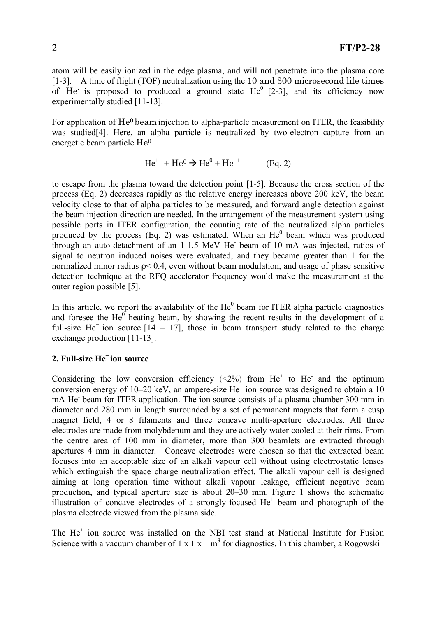atom will be easily ionized in the edge plasma, and will not penetrate into the plasma core [1-3]. A time of flight (TOF) neutralization using the 10 and 300 microsecond life times of He is proposed to produced a ground state  $He^{0}$  [2-3], and its efficiency now experimentally studied [11-13].

For application of He0 beam injection to alpha-particle measurement on ITER, the feasibility was studied<sup>[4]</sup>. Here, an alpha particle is neutralized by two-electron capture from an energetic beam particle He0

$$
He^{++} + He^0 \to He^0 + He^{++}
$$
 (Eq. 2)

to escape from the plasma toward the detection point [1-5]. Because the cross section of the process (Eq. 2) decreases rapidly as the relative energy increases above 200 keV, the beam velocity close to that of alpha particles to be measured, and forward angle detection against the beam injection direction are needed. In the arrangement of the measurement system using possible ports in ITER configuration, the counting rate of the neutralized alpha particles produced by the process  $(Eq. 2)$  was estimated. When an  $He<sup>0</sup>$  beam which was produced through an auto-detachment of an 1-1.5 MeV He - beam of 10 mA was injected, ratios of signal to neutron induced noises were evaluated, and they became greater than 1 for the normalized minor radius  $p < 0.4$ , even without beam modulation, and usage of phase sensitive detection technique at the RFQ accelerator frequency would make the measurement at the outer region possible [5].

In this article, we report the availability of the  $He^0$  beam for ITER alpha particle diagnostics and foresee the  $He^{0}$  heating beam, by showing the recent results in the development of a full-size He<sup>+</sup> ion source  $[14 - 17]$ , those in beam transport study related to the charge exchange production [11-13].

# **2. Full-size He <sup>+</sup> ion source**

Considering the low conversion efficiency  $(\leq 2\%)$  from He<sup>+</sup> to He<sup>-</sup> and the optimum conversion energy of  $10-20$  keV, an ampere-size  $He^+$  ion source was designed to obtain a 10 mA He beam for ITER application. The ion source consists of a plasma chamber 300 mm in diameter and 280 mm in length surrounded by a set of permanent magnets that form a cusp magnet field, 4 or 8 filaments and three concave multi-aperture electrodes. All three electrodes are made from molybdenum and they are actively water cooled at their rims. From the centre area of 100 mm in diameter, more than 300 beamlets are extracted through apertures 4 mm in diameter. Concave electrodes were chosen so that the extracted beam focuses into an acceptable size of an alkali vapour cell without using electrrostatic lenses which extinguish the space charge neutralization effect. The alkali vapour cell is designed aiming at long operation time without alkali vapour leakage, efficient negative beam production, and typical aperture size is about 20–30 mm. Figure 1 shows the schematic illustration of concave electrodes of a strongly-focused  $He<sup>+</sup>$  beam and photograph of the plasma electrode viewed from the plasma side.

The He<sup>+</sup> ion source was installed on the NBI test stand at National Institute for Fusion Science with a vacuum chamber of  $1 \times 1 \times 1$  m<sup>3</sup> for diagnostics. In this chamber, a Rogowski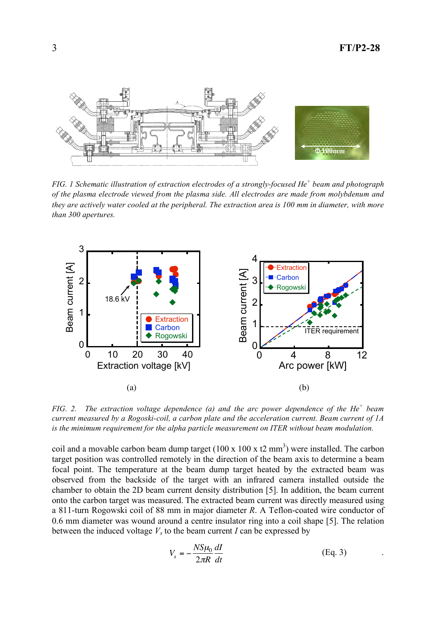

*FIG. 1 Schematic illustration of extraction electrodes of a strongly-focused He <sup>+</sup> beam and photograph of the plasma electrode viewed from the plasma side. All electrodes are made from molybdenum and they are actively water cooled at the peripheral. The extraction area is 100 mm in diameter, with more than 300 apertures.*



*FIG. 2. The extraction voltage dependence (a) and the arc power dependence of the He <sup>+</sup> beam current measured by a Rogoski-coil, a carbon plate and the acceleration current. Beam current of 1A is the minimum requirement for the alpha particle measurement on ITER without beam modulation.*

coil and a movable carbon beam dump target  $(100 \times 100 \times t2 \text{ mm}^3)$  were installed. The carbon target position was controlled remotely in the direction of the beam axis to determine a beam focal point. The temperature at the beam dump target heated by the extracted beam was observed from the backside of the target with an infrared camera installed outside the chamber to obtain the 2D beam current density distribution [5]. In addition, the beam current onto the carbon target was measured. The extracted beam current was directly measured using a 811-turn Rogowski coil of 88 mm in major diameter *R*. A Teflon-coated wire conductor of 0.6 mm diameter was wound around a centre insulator ring into a coil shape [5]. The relation between the induced voltage  $V_s$  to the beam current *I* can be expressed by

$$
V_s = -\frac{NS\mu_0}{2\pi R} \frac{dI}{dt}
$$
 (Eq. 3)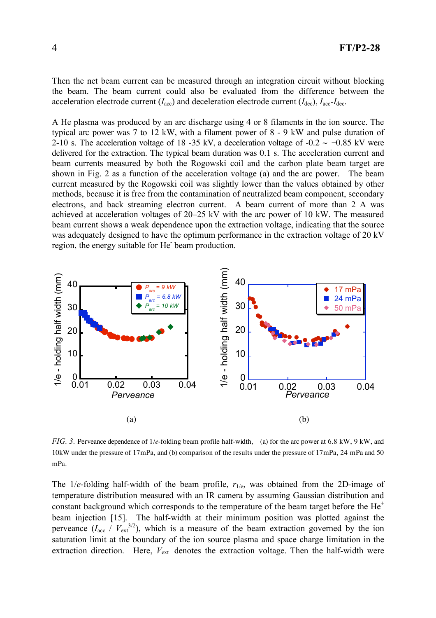Then the net beam current can be measured through an integration circuit without blocking the beam. The beam current could also be evaluated from the difference between the acceleration electrode current  $(I_{\text{acc}})$  and deceleration electrode current  $(I_{\text{dec}})$ ,  $I_{\text{acc}}-I_{\text{dec}}$ .

A He plasma was produced by an arc discharge using 4 or 8 filaments in the ion source. The typical arc power was 7 to 12 kW, with a filament power of 8 - 9 kW and pulse duration of 2-10 s. The acceleration voltage of 18 -35 kV, a deceleration voltage of -0.2  $\sim -0.85$  kV were delivered for the extraction. The typical beam duration was 0.1 s. The acceleration current and beam currents measured by both the Rogowski coil and the carbon plate beam target are shown in Fig. 2 as a function of the acceleration voltage (a) and the arc power. The beam current measured by the Rogowski coil was slightly lower than the values obtained by other methods, because it is free from the contamination of neutralized beam component, secondary electrons, and back streaming electron current. A beam current of more than 2 A was achieved at acceleration voltages of 20–25 kV with the arc power of 10 kW. The measured beam current shows a weak dependence upon the extraction voltage, indicating that the source was adequately designed to have the optimum performance in the extraction voltage of 20 kV region, the energy suitable for He beam production.



*FIG. 3.* Perveance dependence of 1/*e*-folding beam profile half-width, (a) for the arc power at 6.8 kW, 9 kW, and 10kW under the pressure of 17mPa, and (b) comparison of the results under the pressure of 17mPa, 24 mPa and 50 mPa.

The 1/*e*-folding half-width of the beam profile,  $r_{1/e}$ , was obtained from the 2D-image of temperature distribution measured with an IR camera by assuming Gaussian distribution and constant background which corresponds to the temperature of the beam target before the  $He<sup>+</sup>$ beam injection [15]. The half-width at their minimum position was plotted against the perveance  $(I_{\text{acc}} / V_{\text{ext}}^{3/2})$ , which is a measure of the beam extraction governed by the ion saturation limit at the boundary of the ion source plasma and space charge limitation in the extraction direction. Here,  $V_{ext}$  denotes the extraction voltage. Then the half-width were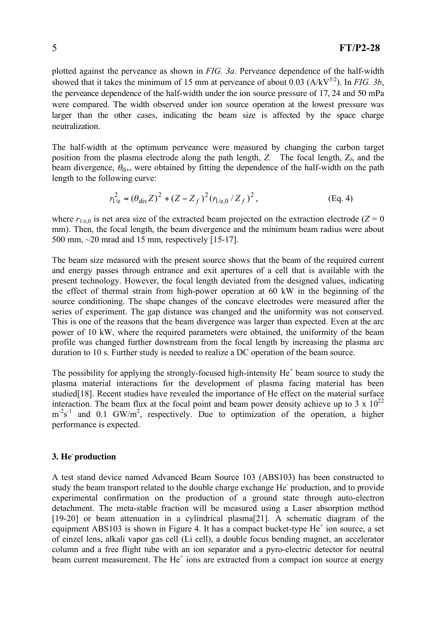plotted against the perveance as shown in *FIG. 3a*. Perveance dependence of the half-width showed that it takes the minimum of 15 mm at perveance of about 0.03  $(A/kV^{3/2})$ . In *FIG.* 3*b*, the perveance dependence of the half-width under the ion source pressure of 17, 24 and 50 mPa were compared. The width observed under ion source operation at the lowest pressure was larger than the other cases, indicating the beam size is affected by the space charge neutralization.

The half-width at the optimum perveance were measured by changing the carbon target position from the plasma electrode along the path length, *Z.* The focal length, Z*f*, and the beam divergence,  $\theta_{div}$ , were obtained by fitting the dependence of the half-width on the path length to the following curve:

$$
r_{1/e}^{2} = (\theta_{div} Z)^{2} + (Z - Z_{f})^{2} (r_{1/e,0} / Z_{f})^{2},
$$
 (Eq. 4)

where  $r_{1/e,0}$  is net area size of the extracted beam projected on the extraction electrode ( $Z = 0$ ) mm). Then, the focal length, the beam divergence and the minimum beam radius were about 500 mm, ~20 mrad and 15 mm, respectively [15-17].

The beam size measured with the present source shows that the beam of the required current and energy passes through entrance and exit apertures of a cell that is available with the present technology. However, the focal length deviated from the designed values, indicating the effect of thermal strain from high-power operation at 60 kW in the beginning of the source conditioning. The shape changes of the concave electrodes were measured after the series of experiment. The gap distance was changed and the uniformity was not conserved. This is one of the reasons that the beam divergence was larger than expected. Even at the arc power of 10 kW, where the required parameters were obtained, the uniformity of the beam profile was changed further downstream from the focal length by increasing the plasma arc duration to 10 s. Further study is needed to realize a DC operation of the beam source.

The possibility for applying the strongly-focused high-intensity  $He<sup>+</sup>$  beam source to study the plasma material interactions for the development of plasma facing material has been studied<sup>[18]</sup>. Recent studies have revealed the importance of He effect on the material surface interaction. The beam flux at the focal point and beam power density achieve up to 3 x  $10^{22}$  $m<sup>2</sup>s<sup>-1</sup>$  and 0.1 GW/m<sup>2</sup>, respectively. Due to optimization of the operation, a higher performance is expected.

## **3. He-production**

A test stand device named Advanced Beam Source 103 (ABS103) has been constructed to study the beam transport related to the double charge exchange He production, and to provide experimental confirmation on the production of a ground state through auto-electron detachment. The meta-stable fraction will be measured using a Laser absorption method [19-20] or beam attenuation in a cylindrical plasma[21]. A schematic diagram of the equipment ABS103 is shown in Figure 4. It has a compact bucket-type  $He^+$  ion source, a set of einzel lens, alkali vapor gas cell (Li cell), a double focus bending magnet, an accelerator column and a free flight tube with an ion separator and a pyro-electric detector for neutral beam current measurement. The He<sup>+</sup> ions are extracted from a compact ion source at energy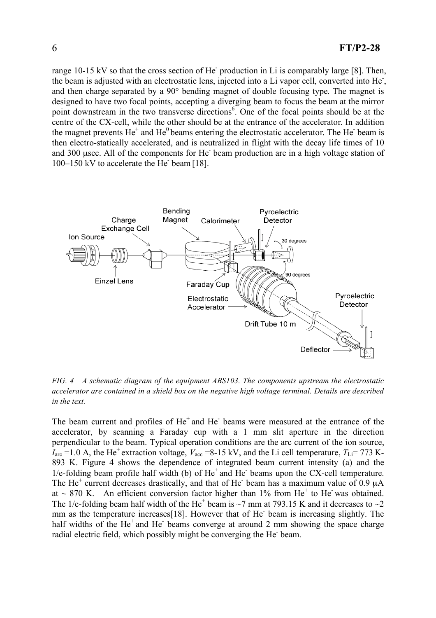range 10-15 kV so that the cross section of He production in Li is comparably large [8]. Then, the beam is adjusted with an electrostatic lens, injected into a Li vapor cell, converted into He<sup>-</sup>, and then charge separated by a 90° bending magnet of double focusing type. The magnet is designed to have two focal points, accepting a diverging beam to focus the beam at the mirror point downstream in the two transverse directions<sup>6</sup>. One of the focal points should be at the centre of the CX-cell, while the other should be at the entrance of the accelerator. In addition the magnet prevents  $He<sup>+</sup>$  and  $He<sup>0</sup>$  beams entering the electrostatic accelerator. The He<sup>-</sup> beam is then electro-statically accelerated, and is neutralized in flight with the decay life times of 10 and 300 usec. All of the components for He beam production are in a high voltage station of 100-150 kV to accelerate the He beam [18].



*FIG. 4 A schematic diagram of the equipment ABS103. The components upstream the electrostatic accelerator are contained in a shield box on the negative high voltage terminal. Details are described in the text.*

The beam current and profiles of He<sup>+</sup> and He<sup>-</sup> beams were measured at the entrance of the accelerator, by scanning a Faraday cup with a 1 mm slit aperture in the direction perpendicular to the beam. Typical operation conditions are the arc current of the ion source,  $I_{\text{arc}}$  =1.0 A, the He<sup>+</sup> extraction voltage,  $V_{\text{acc}}$  =8-15 kV, and the Li cell temperature,  $T_{\text{Li}}$  = 773 K-893 K. Figure 4 shows the dependence of integrated beam current intensity (a) and the  $1/e$ -folding beam profile half width (b) of  $He<sup>+</sup>$  and  $He<sup>-</sup>$  beams upon the CX-cell temperature. The He<sup>+</sup> current decreases drastically, and that of He<sup> $-$ </sup> beam has a maximum value of 0.9  $\mu$ A at  $\sim$  870 K. An efficient conversion factor higher than 1% from He<sup>+</sup> to He was obtained. The 1/e-folding beam half width of the He<sup>+</sup> beam is  $\sim$ 7 mm at 793.15 K and it decreases to  $\sim$ 2 mm as the temperature increases[18]. However that of He<sup>+</sup> beam is increasing slightly. The half widths of the He<sup>+</sup> and He<sup>+</sup> beams converge at around 2 mm showing the space charge radial electric field, which possibly might be converging the He beam.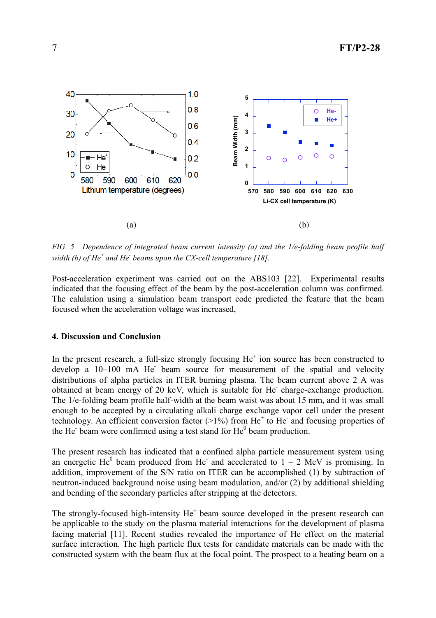

*FIG. 5 Dependence of integrated beam current intensity (a) and the 1/e-folding beam profile half width (b) of He <sup>+</sup> and He - beams upon the CX-cell temperature [18].*

Post-acceleration experiment was carried out on the ABS103 [22]. Experimental results indicated that the focusing effect of the beam by the post-acceleration column was confirmed. The calulation using a simulation beam transport code predicted the feature that the beam focused when the acceleration voltage was increased,

#### **4. Discussion and Conclusion**

In the present research, a full-size strongly focusing  $He<sup>+</sup>$  ion source has been constructed to develop a 10-100 mA He beam source for measurement of the spatial and velocity distributions of alpha particles in ITER burning plasma. The beam current above 2 A was obtained at beam energy of 20 keV, which is suitable for He charge-exchange production. The 1/e-folding beam profile half-width at the beam waist was about 15 mm, and it was small enough to be accepted by a circulating alkali charge exchange vapor cell under the present technology. An efficient conversion factor  $(>1%)$  from He<sup>+</sup> to He<sup>-</sup> and focusing properties of the He beam were confirmed using a test stand for  $He<sup>0</sup>$  beam production.

The present research has indicated that a confined alpha particle measurement system using an energetic He<sup>0</sup> beam produced from He<sup>-</sup> and accelerated to  $1 - 2$  MeV is promising. In addition, improvement of the S/N ratio on ITER can be accomplished (1) by subtraction of neutron-induced background noise using beam modulation, and/or (2) by additional shielding and bending of the secondary particles after stripping at the detectors.

The strongly-focused high-intensity  $He<sup>+</sup>$  beam source developed in the present research can be applicable to the study on the plasma material interactions for the development of plasma facing material [11]. Recent studies revealed the importance of He effect on the material surface interaction. The high particle flux tests for candidate materials can be made with the constructed system with the beam flux at the focal point. The prospect to a heating beam on a